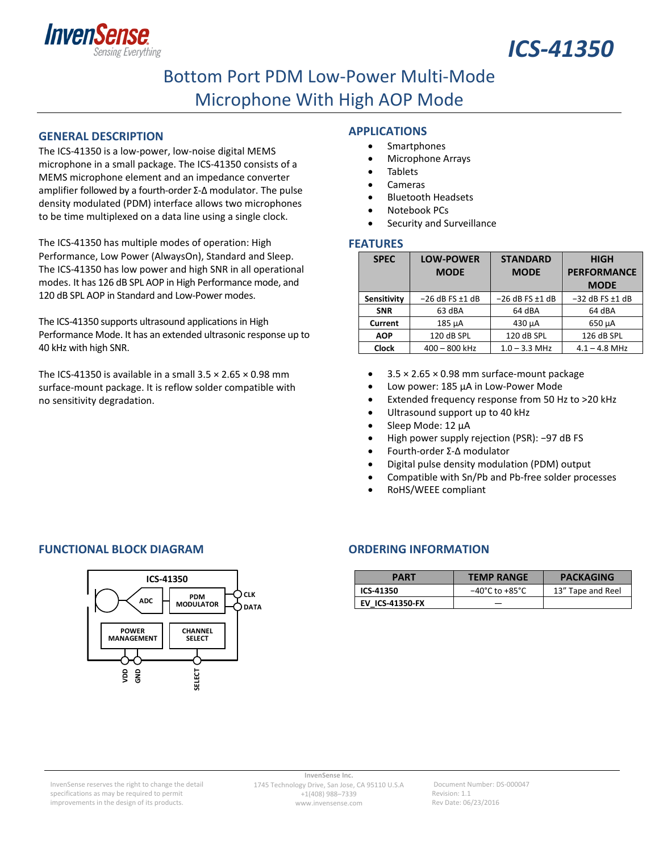



## Bottom Port PDM Low‐Power Multi‐Mode Microphone With High AOP Mode

#### **GENERAL DESCRIPTION**

The ICS‐41350 is a low‐power, low‐noise digital MEMS microphone in a small package. The ICS‐41350 consists of a MEMS microphone element and an impedance converter amplifier followed by a fourth‐order Σ‐Δ modulator. The pulse density modulated (PDM) interface allows two microphones to be time multiplexed on a data line using a single clock.

The ICS‐41350 has multiple modes of operation: High Performance, Low Power (AlwaysOn), Standard and Sleep. The ICS‐41350 has low power and high SNR in all operational modes. It has 126 dB SPL AOP in High Performance mode, and 120 dB SPL AOP in Standard and Low‐Power modes.

The ICS-41350 supports ultrasound applications in High Performance Mode. It has an extended ultrasonic response up to 40 kHz with high SNR.

The ICS-41350 is available in a small  $3.5 \times 2.65 \times 0.98$  mm surface‐mount package. It is reflow solder compatible with no sensitivity degradation.

#### **APPLICATIONS**

- Smartphones
- Microphone Arrays
- Tablets
- Cameras
- Bluetooth Headsets
- Notebook PCs Security and Surveillance

#### **FEATURES**

| <b>SPEC</b>  | <b>LOW-POWER</b><br><b>MODE</b> | <b>STANDARD</b><br><b>MODE</b> | <b>HIGH</b><br><b>PERFORMANCE</b> |
|--------------|---------------------------------|--------------------------------|-----------------------------------|
|              |                                 |                                | <b>MODE</b>                       |
| Sensitivity  | $-26$ dB FS $\pm$ 1 dB          | $-26$ dB FS $\pm$ 1 dB         | $-32$ dB FS $\pm$ 1 dB            |
| <b>SNR</b>   | 63 dBA                          | 64 dBA                         | 64 dBA                            |
| Current      | 185 µA                          | 430 µA                         | 650 µA                            |
| <b>AOP</b>   | 120 dB SPL                      | 120 dB SPL                     | 126 dB SPL                        |
| <b>Clock</b> | $400 - 800$ kHz                 | $1.0 - 3.3$ MHz                | $4.1 - 4.8$ MHz                   |

- $\bullet$  3.5  $\times$  2.65  $\times$  0.98 mm surface-mount package
- Low power: 185 µA in Low‐Power Mode
- Extended frequency response from 50 Hz to >20 kHz
- Ultrasound support up to 40 kHz
- Sleep Mode: 12 µA
- High power supply rejection (PSR): −97 dB FS
- Fourth‐order Σ‐Δ modulator
- Digital pulse density modulation (PDM) output
- Compatible with Sn/Pb and Pb-free solder processes
- RoHS/WEEE compliant

#### **FUNCTIONAL BLOCK DIAGRAM ORDERING INFORMATION**



| <b>PART</b>            | <b>TEMP RANGE</b>                  | <b>PACKAGING</b>  |
|------------------------|------------------------------------|-------------------|
| ICS-41350              | $-40^{\circ}$ C to $+85^{\circ}$ C | 13" Tape and Reel |
| <b>EV ICS-41350-FX</b> |                                    |                   |

Document Number: DS‐000047 Revision: 1.1 Rev Date: 06/23/2016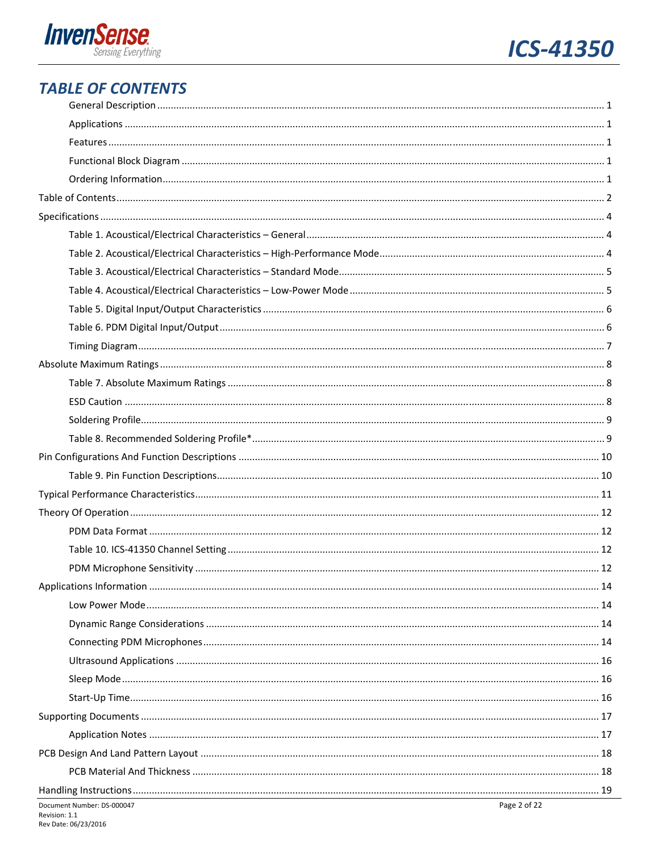



### **TABLE OF CONTENTS**

| Document Number: DS-000047 | Page 2 of 22 |
|----------------------------|--------------|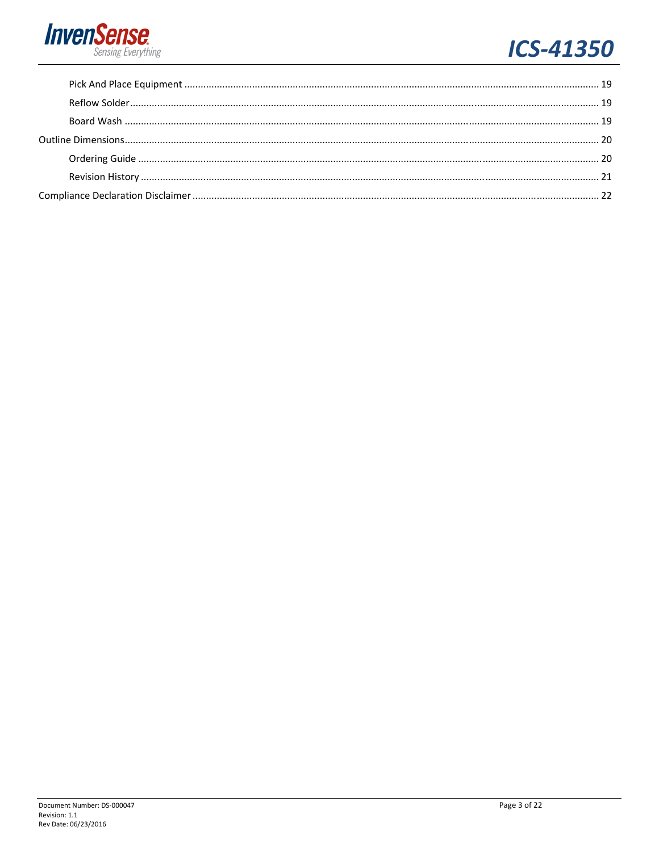

# **ICS-41350**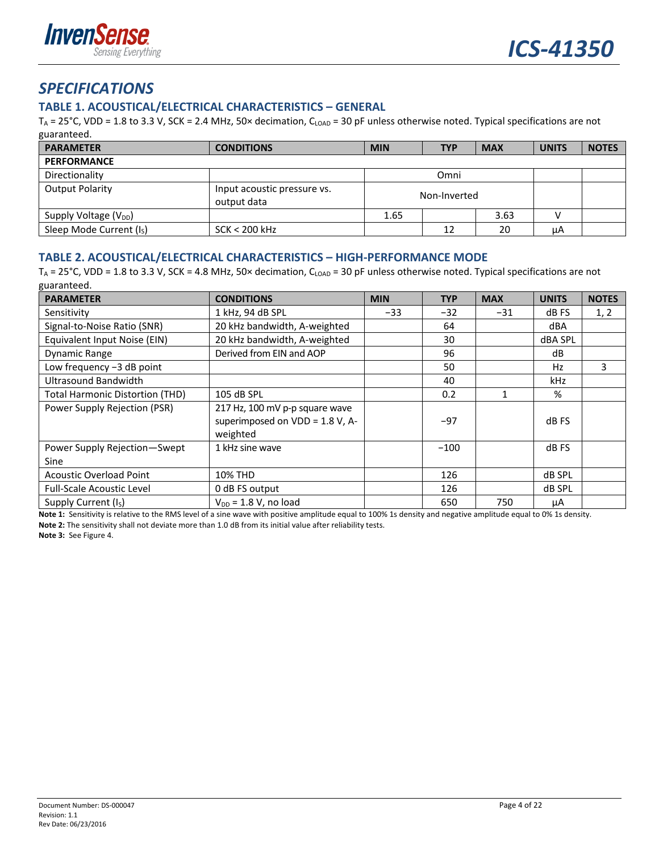

### *SPECIFICATIONS*

#### **TABLE 1. ACOUSTICAL/ELECTRICAL CHARACTERISTICS – GENERAL**

 $T_A$  = 25°C, VDD = 1.8 to 3.3 V, SCK = 2.4 MHz, 50× decimation, C<sub>LOAD</sub> = 30 pF unless otherwise noted. Typical specifications are not guaranteed.

| <b>PARAMETER</b>                     | <b>CONDITIONS</b>                          | <b>MIN</b>   | <b>TYP</b> | <b>MAX</b> | <b>UNITS</b> | <b>NOTES</b> |
|--------------------------------------|--------------------------------------------|--------------|------------|------------|--------------|--------------|
| <b>PERFORMANCE</b>                   |                                            |              |            |            |              |              |
| Directionality                       |                                            | Omni         |            |            |              |              |
| <b>Output Polarity</b>               | Input acoustic pressure vs.<br>output data | Non-Inverted |            |            |              |              |
| Supply Voltage (V <sub>DD</sub> )    |                                            | 1.65<br>3.63 |            |            |              |              |
| Sleep Mode Current (I <sub>S</sub> ) | $SCK < 200$ kHz                            |              | 12         | 20         | μA           |              |

#### **TABLE 2. ACOUSTICAL/ELECTRICAL CHARACTERISTICS – HIGH‐PERFORMANCE MODE**

 $T_A = 25^{\circ}$ C, VDD = 1.8 to 3.3 V, SCK = 4.8 MHz, 50× decimation, C<sub>LOAD</sub> = 30 pF unless otherwise noted. Typical specifications are not guaranteed.

| <b>PARAMETER</b>                                 | <b>CONDITIONS</b>                                                                | <b>MIN</b> | <b>TYP</b> | <b>MAX</b> | <b>UNITS</b> | <b>NOTES</b> |
|--------------------------------------------------|----------------------------------------------------------------------------------|------------|------------|------------|--------------|--------------|
| Sensitivity                                      | 1 kHz, 94 dB SPL<br>$-33$                                                        |            | $-32$      | $-31$      | dB FS        | 1, 2         |
| Signal-to-Noise Ratio (SNR)                      | 20 kHz bandwidth, A-weighted                                                     |            | 64         |            | dBA          |              |
| Equivalent Input Noise (EIN)                     | 20 kHz bandwidth, A-weighted                                                     |            | 30         |            | dBA SPL      |              |
| Derived from EIN and AOP<br><b>Dynamic Range</b> |                                                                                  |            | 96         |            | dB           |              |
| Low frequency $-3$ dB point                      |                                                                                  |            | 50         |            | Hz           | 3            |
| <b>Ultrasound Bandwidth</b>                      |                                                                                  |            | 40         |            | kHz          |              |
| <b>Total Harmonic Distortion (THD)</b>           | 105 dB SPL                                                                       |            | 0.2        |            | %            |              |
| Power Supply Rejection (PSR)                     | 217 Hz, 100 mV p-p square wave<br>superimposed on $VDD = 1.8 V$ , A-<br>weighted |            | $-97$      |            | dB FS        |              |
| Power Supply Rejection-Swept<br>Sine             | 1 kHz sine wave                                                                  |            | $-100$     |            | dB FS        |              |
| <b>Acoustic Overload Point</b>                   | <b>10% THD</b>                                                                   |            | 126        |            | dB SPL       |              |
| <b>Full-Scale Acoustic Level</b>                 | 0 dB FS output                                                                   |            | 126        |            | dB SPL       |              |
| Supply Current (I <sub>s</sub> )                 | $V_{DD}$ = 1.8 V, no load                                                        |            | 650        | 750        | μA           |              |

**Note 1:** Sensitivity is relative to the RMS level of a sine wave with positive amplitude equal to 100% 1s density and negative amplitude equal to 0% 1s density. Note 2: The sensitivity shall not deviate more than 1.0 dB from its initial value after reliability tests.

**Note 3:** See Figure 4.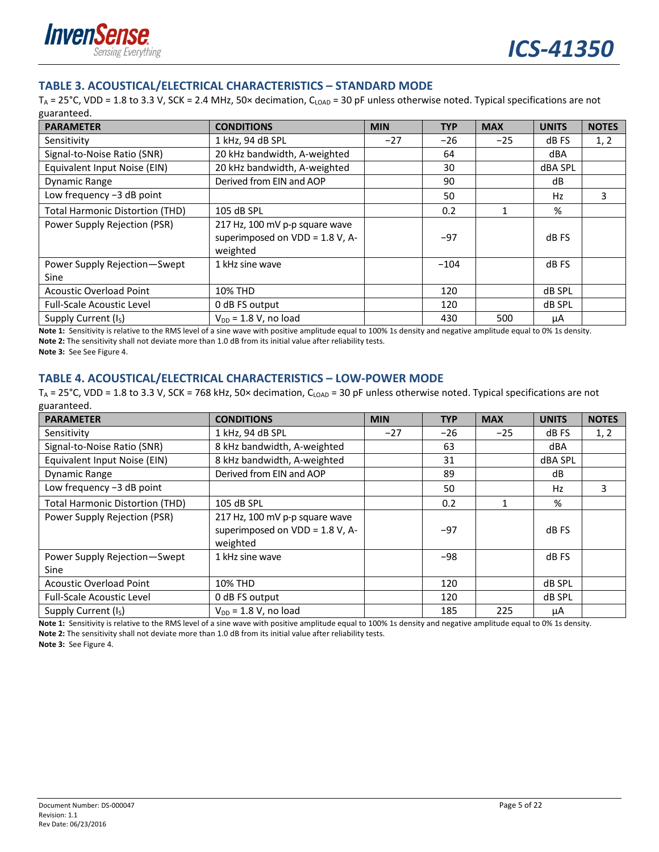

#### **TABLE 3. ACOUSTICAL/ELECTRICAL CHARACTERISTICS – STANDARD MODE**

 $T_A$  = 25°C, VDD = 1.8 to 3.3 V, SCK = 2.4 MHz, 50× decimation, C<sub>LOAD</sub> = 30 pF unless otherwise noted. Typical specifications are not guaranteed.

| <b>PARAMETER</b>                       | <b>CONDITIONS</b>                                                                | <b>MIN</b> | <b>TYP</b> | <b>MAX</b> | <b>UNITS</b>   | <b>NOTES</b> |
|----------------------------------------|----------------------------------------------------------------------------------|------------|------------|------------|----------------|--------------|
| Sensitivity                            | 1 kHz, 94 dB SPL                                                                 | $-27$      | $-26$      | $-25$      | dB FS          | 1, 2         |
| Signal-to-Noise Ratio (SNR)            | 20 kHz bandwidth, A-weighted                                                     |            | 64         |            | dBA            |              |
| Equivalent Input Noise (EIN)           | 20 kHz bandwidth, A-weighted                                                     |            | 30         |            | <b>dBA SPL</b> |              |
| Dynamic Range                          | Derived from EIN and AOP                                                         |            | 90         |            | dB             |              |
| Low frequency -3 dB point              |                                                                                  |            | 50         |            | Hz             | 3            |
| <b>Total Harmonic Distortion (THD)</b> | 105 dB SPL                                                                       |            | 0.2        |            | %              |              |
| Power Supply Rejection (PSR)           | 217 Hz, 100 mV p-p square wave<br>superimposed on $VDD = 1.8 V$ , A-<br>weighted |            | $-97$      |            | dB FS          |              |
| Power Supply Rejection-Swept<br>Sine   | 1 kHz sine wave                                                                  |            | $-104$     |            | dB FS          |              |
| <b>Acoustic Overload Point</b>         | <b>10% THD</b>                                                                   |            | 120        |            | <b>dB SPL</b>  |              |
| <b>Full-Scale Acoustic Level</b>       | 0 dB FS output                                                                   |            | 120        |            | <b>dB SPL</b>  |              |
| Supply Current (I <sub>S</sub> )       | $V_{DD}$ = 1.8 V, no load                                                        |            | 430        | 500        | μA             |              |

**Note 1:** Sensitivity is relative to the RMS level of a sine wave with positive amplitude equal to 100% 1s density and negative amplitude equal to 0% 1s density. Note 2: The sensitivity shall not deviate more than 1.0 dB from its initial value after reliability tests. **Note 3:** See See Figure 4.

#### **TABLE 4. ACOUSTICAL/ELECTRICAL CHARACTERISTICS – LOW‐POWER MODE**

 $T_A = 25^\circ$ C, VDD = 1.8 to 3.3 V, SCK = 768 kHz, 50× decimation, C<sub>LOAD</sub> = 30 pF unless otherwise noted. Typical specifications are not guaranteed.

| <b>PARAMETER</b>                       | <b>CONDITIONS</b>                                                             | <b>MIN</b> | <b>TYP</b> | <b>MAX</b> | <b>UNITS</b> | <b>NOTES</b> |
|----------------------------------------|-------------------------------------------------------------------------------|------------|------------|------------|--------------|--------------|
| Sensitivity                            | 1 kHz, 94 dB SPL<br>$-27$                                                     |            | $-26$      | $-25$      | dB FS        | 1, 2         |
| Signal-to-Noise Ratio (SNR)            | 8 kHz bandwidth, A-weighted                                                   |            | 63         |            | dBA          |              |
| Equivalent Input Noise (EIN)           | 8 kHz bandwidth, A-weighted                                                   |            | 31         |            | dBA SPL      |              |
| <b>Dynamic Range</b>                   | Derived from EIN and AOP                                                      |            | 89         |            | dB           |              |
| Low frequency -3 dB point              |                                                                               |            | 50         |            | Hz           | 3            |
| <b>Total Harmonic Distortion (THD)</b> | 105 dB SPL                                                                    |            | 0.2        |            | %            |              |
| Power Supply Rejection (PSR)           | 217 Hz, 100 mV p-p square wave<br>superimposed on VDD = 1.8 V, A-<br>weighted |            | $-97$      |            | dB FS        |              |
| Power Supply Rejection-Swept<br>Sine   | 1 kHz sine wave                                                               |            | $-98$      |            | dB FS        |              |
| <b>Acoustic Overload Point</b>         | <b>10% THD</b>                                                                |            | 120        |            | dB SPL       |              |
| <b>Full-Scale Acoustic Level</b>       | 0 dB FS output                                                                |            | 120        |            | dB SPL       |              |
| Supply Current (Is)                    | $V_{DD}$ = 1.8 V, no load                                                     |            | 185        | 225        | μA           |              |

**Note 1:** Sensitivity is relative to the RMS level of a sine wave with positive amplitude equal to 100% 1s density and negative amplitude equal to 0% 1s density. Note 2: The sensitivity shall not deviate more than 1.0 dB from its initial value after reliability tests.

**Note 3:** See Figure 4.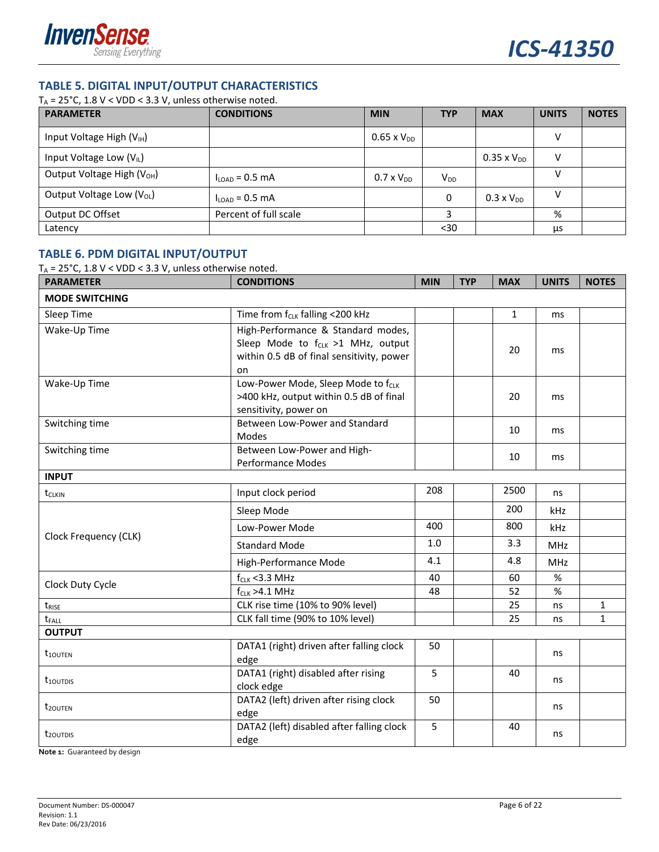

### **TABLE 5. DIGITAL INPUT/OUTPUT CHARACTERISTICS**

T<sub>A</sub> = 25°C, 1.8 V < VDD < 3.3 V, unless otherwise noted.

| <b>PARAMETER</b>                       | <b>CONDITIONS</b>          | <b>MIN</b>           | <b>TYP</b> | <b>MAX</b>           | <b>UNITS</b> | <b>NOTES</b> |
|----------------------------------------|----------------------------|----------------------|------------|----------------------|--------------|--------------|
| Input Voltage High $(V_{IH})$          |                            | $0.65 \times V_{DD}$ |            |                      | v            |              |
| Input Voltage Low (V <sub>IL</sub> )   |                            |                      |            | $0.35 \times V_{DD}$ | v            |              |
| Output Voltage High (V <sub>OH</sub> ) | $I_{\text{LOAD}}$ = 0.5 mA | $0.7 \times V_{DD}$  | $V_{DD}$   |                      |              |              |
| Output Voltage Low (V <sub>OL</sub> )  | $I_{\text{LOAD}}$ = 0.5 mA |                      | 0          | $0.3 \times V_{DD}$  |              |              |
| Output DC Offset                       | Percent of full scale      |                      |            |                      | %            |              |
| Latency                                |                            |                      | $30$       |                      | μs           |              |

#### **TABLE 6. PDM DIGITAL INPUT/OUTPUT**

T<sub>A</sub> = 25°C, 1.8 V < VDD < 3.3 V, unless otherwise noted.

| <b>PARAMETER</b>          | <b>CONDITIONS</b>                                                                                                                      | <b>MIN</b> | <b>TYP</b> | <b>MAX</b>   | <b>UNITS</b> | <b>NOTES</b> |
|---------------------------|----------------------------------------------------------------------------------------------------------------------------------------|------------|------------|--------------|--------------|--------------|
| <b>MODE SWITCHING</b>     |                                                                                                                                        |            |            |              |              |              |
| Sleep Time                | Time from f <sub>CLK</sub> falling <200 kHz                                                                                            |            |            | $\mathbf{1}$ | ms           |              |
| Wake-Up Time              | High-Performance & Standard modes,<br>Sleep Mode to f <sub>CLK</sub> >1 MHz, output<br>within 0.5 dB of final sensitivity, power<br>on |            |            | 20           | ms           |              |
| Wake-Up Time              | Low-Power Mode, Sleep Mode to f <sub>CLK</sub><br>>400 kHz, output within 0.5 dB of final<br>sensitivity, power on                     |            |            | 20           | ms           |              |
| Switching time            | Between Low-Power and Standard<br>Modes                                                                                                |            |            | 10           | ms           |              |
| Switching time            | Between Low-Power and High-<br><b>Performance Modes</b>                                                                                |            |            | 10           | ms           |              |
| <b>INPUT</b>              |                                                                                                                                        |            |            |              |              |              |
| tclkin                    | Input clock period                                                                                                                     | 208        |            | 2500         | ns           |              |
|                           | Sleep Mode                                                                                                                             |            |            | 200          | kHz          |              |
|                           | Low-Power Mode                                                                                                                         | 400        |            | 800          | kHz          |              |
| Clock Frequency (CLK)     | <b>Standard Mode</b>                                                                                                                   | 1.0        |            | 3.3          | MHz          |              |
|                           | High-Performance Mode                                                                                                                  | 4.1        |            | 4.8          | <b>MHz</b>   |              |
|                           | $f_{CLK}$ < 3.3 MHz                                                                                                                    | 40         |            | 60           | %            |              |
| Clock Duty Cycle          | $f_{CLK} > 4.1$ MHz                                                                                                                    | 48         |            | 52           | %            |              |
| $t_{RISE}$                | CLK rise time (10% to 90% level)                                                                                                       |            |            | 25           | ns           | 1            |
| $t_{FALL}$                | CLK fall time (90% to 10% level)                                                                                                       |            |            | 25           | ns           | $\mathbf{1}$ |
| <b>OUTPUT</b>             |                                                                                                                                        |            |            |              |              |              |
| $t_{100TEN}$              | DATA1 (right) driven after falling clock<br>edge                                                                                       | 50         |            |              | ns           |              |
| $t_{100}$ <sub>TDIS</sub> | DATA1 (right) disabled after rising<br>clock edge                                                                                      | 5          |            | 40           | ns           |              |
| t <sub>20UTEN</sub>       | DATA2 (left) driven after rising clock<br>edge                                                                                         | 50         |            |              | ns           |              |
| t <sub>20UTDIS</sub>      | DATA2 (left) disabled after falling clock<br>edge                                                                                      | 5          |            | 40           | ns           |              |

**Note 1:** Guaranteed by design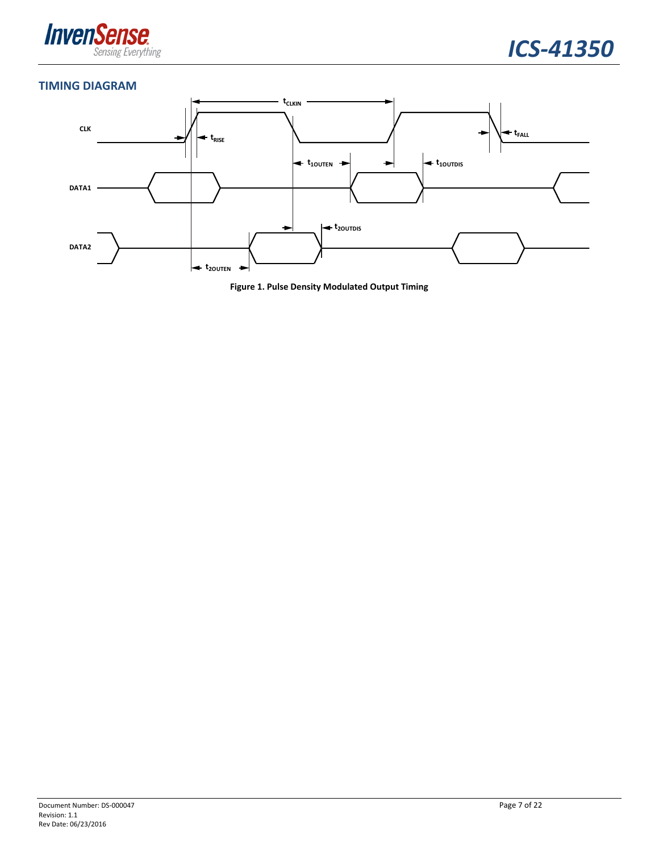



#### **TIMING DIAGRAM**



**Figure 1. Pulse Density Modulated Output Timing**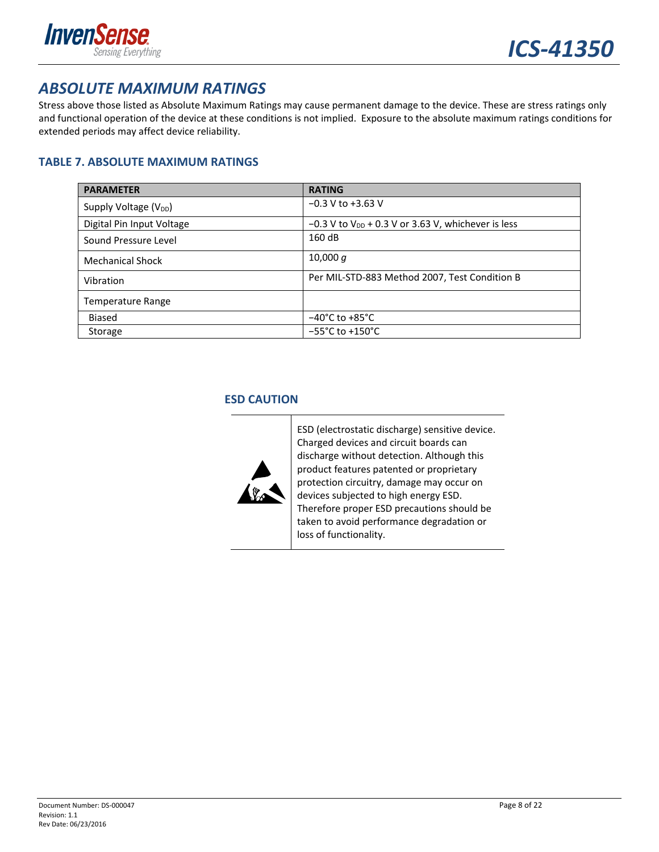

### *ABSOLUTE MAXIMUM RATINGS*

Stress above those listed as Absolute Maximum Ratings may cause permanent damage to the device. These are stress ratings only and functional operation of the device at these conditions is not implied. Exposure to the absolute maximum ratings conditions for extended periods may affect device reliability.

#### **TABLE 7. ABSOLUTE MAXIMUM RATINGS**

| <b>PARAMETER</b>          | <b>RATING</b>                                                    |
|---------------------------|------------------------------------------------------------------|
| Supply Voltage $(V_{DD})$ | $-0.3$ V to $+3.63$ V                                            |
| Digital Pin Input Voltage | $-0.3$ V to V <sub>DD</sub> + 0.3 V or 3.63 V, whichever is less |
| Sound Pressure Level      | 160 dB                                                           |
| <b>Mechanical Shock</b>   | 10,000 $q$                                                       |
| Vibration                 | Per MIL-STD-883 Method 2007, Test Condition B                    |
| Temperature Range         |                                                                  |
| <b>Biased</b>             | $-40^{\circ}$ C to $+85^{\circ}$ C                               |
| Storage                   | $-55^{\circ}$ C to $+150^{\circ}$ C                              |

#### **ESD CAUTION**



ESD (electrostatic discharge) sensitive device. Charged devices and circuit boards can discharge without detection. Although this product features patented or proprietary protection circuitry, damage may occur on devices subjected to high energy ESD. Therefore proper ESD precautions should be taken to avoid performance degradation or loss of functionality.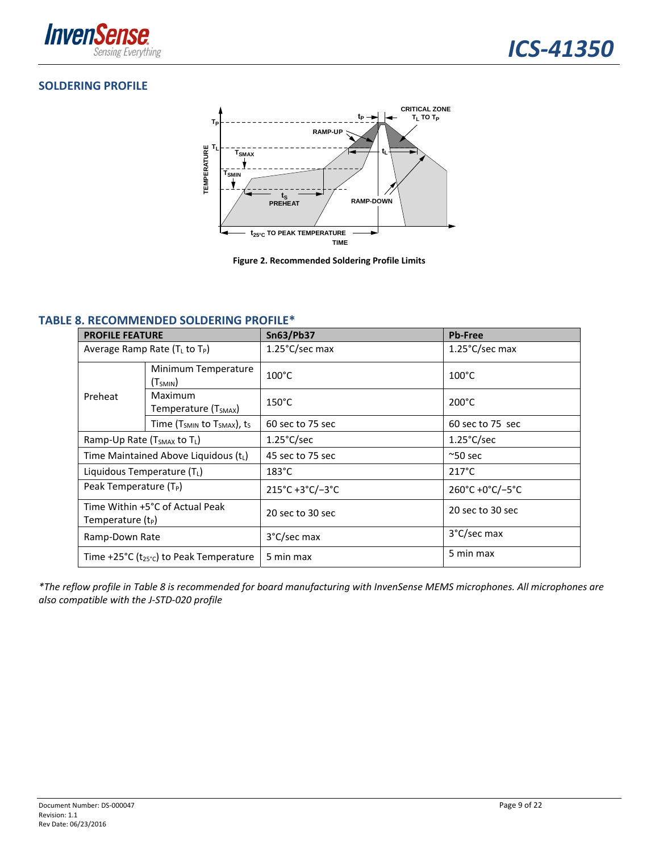

#### **SOLDERING PROFILE**



**Figure 2. Recommended Soldering Profile Limits**

#### **TABLE 8. RECOMMENDED SOLDERING PROFILE\***

| <b>PROFILE FEATURE</b>                                 |                                               | <b>Sn63/Pb37</b>     | <b>Pb-Free</b>       |
|--------------------------------------------------------|-----------------------------------------------|----------------------|----------------------|
| Average Ramp Rate $(T_L$ to $T_P$ )                    |                                               | 1.25°C/sec max       | 1.25°C/sec max       |
|                                                        | Minimum Temperature<br>$(T_{SMIN})$           | $100^{\circ}$ C      | $100^{\circ}$ C      |
| Preheat                                                | Maximum<br>Temperature (T <sub>SMAX</sub> )   | $150^{\circ}$ C      | $200^{\circ}$ C      |
|                                                        | Time ( $T_{SMIN}$ to $T_{SMAX}$ ), ts         | 60 sec to 75 sec     | 60 sec to 75 sec     |
| Ramp-Up Rate (T <sub>SMAX</sub> to T <sub>L</sub> )    |                                               | $1.25^{\circ}$ C/sec | $1.25^{\circ}$ C/sec |
| Time Maintained Above Liquidous (tL)                   |                                               | 45 sec to 75 sec     | $^{\sim}50$ sec      |
| Liquidous Temperature (TL)                             |                                               | $183^{\circ}$ C      | $217^{\circ}$ C      |
| Peak Temperature $(T_P)$                               |                                               | 215°C+3°C/-3°C       | 260°C +0°C/-5°C      |
| Time Within +5°C of Actual Peak<br>Temperature $(t_P)$ |                                               | 20 sec to 30 sec     | 20 sec to 30 sec     |
| Ramp-Down Rate                                         |                                               | 3°C/sec max          | 3°C/sec max          |
|                                                        | Time +25°C ( $t_{25}$ °c) to Peak Temperature | 5 min max            | 5 min max            |

\*The reflow profile in Table 8 is recommended for board manufacturing with InvenSense MEMS microphones. All microphones are *also compatible with the J‐STD‐020 profile*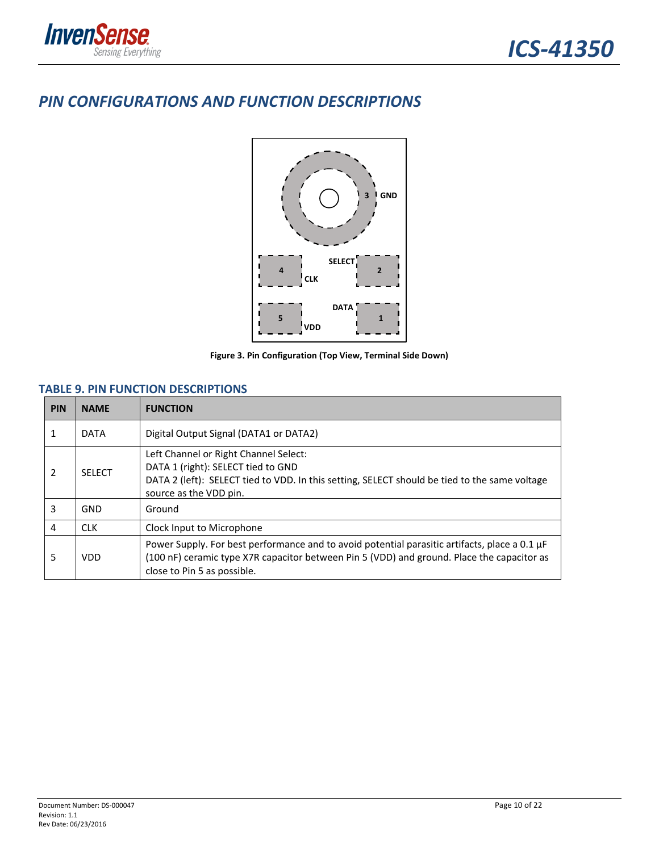

### *PIN CONFIGURATIONS AND FUNCTION DESCRIPTIONS*



**Figure 3. Pin Configuration (Top View, Terminal Side Down)**

#### **TABLE 9. PIN FUNCTION DESCRIPTIONS**

| <b>PIN</b>              | <b>NAME</b>   | <b>FUNCTION</b>                                                                                                                                                                                                            |  |
|-------------------------|---------------|----------------------------------------------------------------------------------------------------------------------------------------------------------------------------------------------------------------------------|--|
| 1                       | <b>DATA</b>   | Digital Output Signal (DATA1 or DATA2)                                                                                                                                                                                     |  |
| $\overline{\mathbf{z}}$ | <b>SELECT</b> | Left Channel or Right Channel Select:<br>DATA 1 (right): SELECT tied to GND<br>DATA 2 (left): SELECT tied to VDD. In this setting, SELECT should be tied to the same voltage<br>source as the VDD pin.                     |  |
| 3                       | GND           | Ground                                                                                                                                                                                                                     |  |
| 4                       | <b>CLK</b>    | Clock Input to Microphone                                                                                                                                                                                                  |  |
| 5                       | VDD           | Power Supply. For best performance and to avoid potential parasitic artifacts, place a 0.1 µF<br>(100 nF) ceramic type X7R capacitor between Pin 5 (VDD) and ground. Place the capacitor as<br>close to Pin 5 as possible. |  |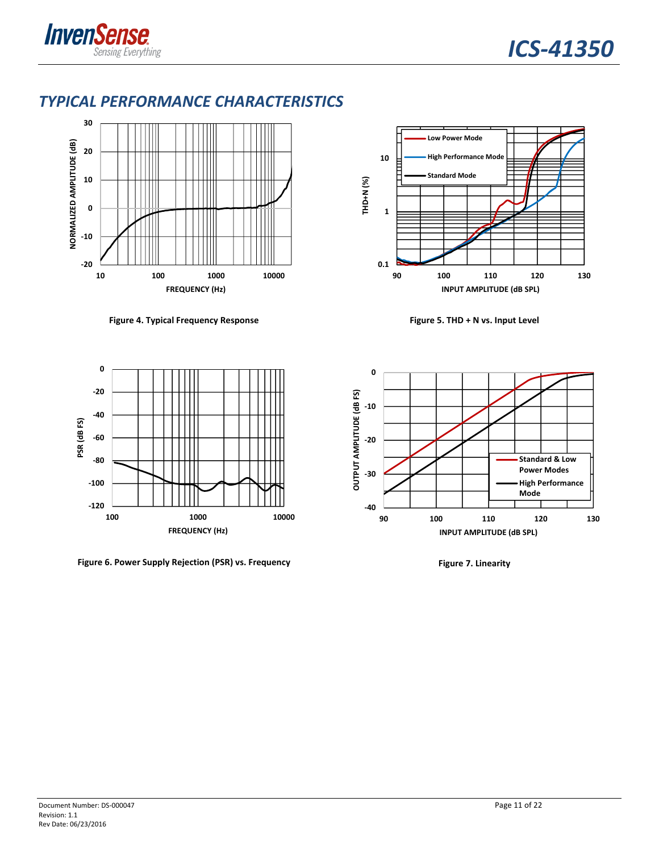

### *TYPICAL PERFORMANCE CHARACTERISTICS*



**Figure 4. Typical Frequency Response Figure 5. THD + N vs. Input Level**



**Figure 6. Power Supply Rejection (PSR) vs. Frequency Figure 7. Linearity**



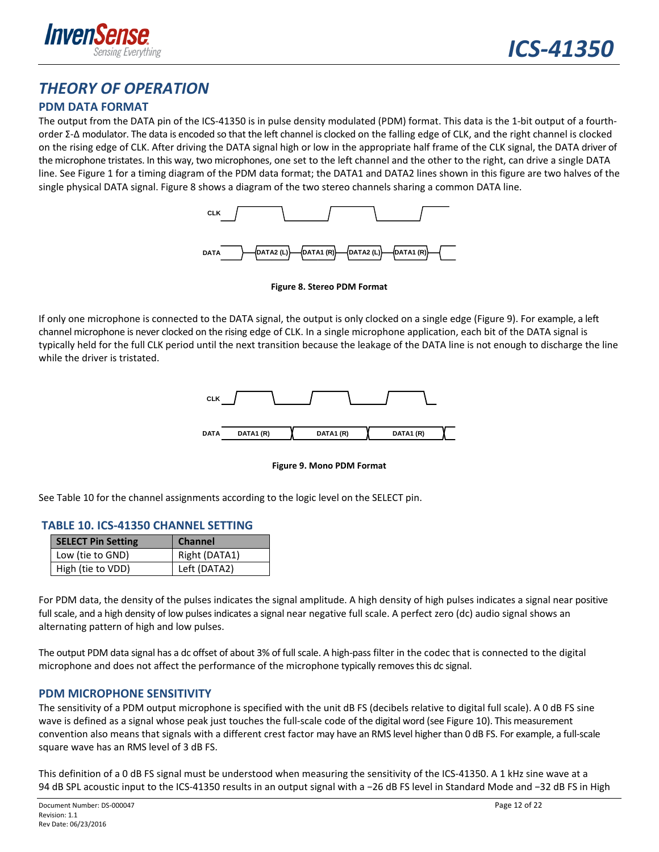

### *THEORY OF OPERATION*

#### **PDM DATA FORMAT**

The output from the DATA pin of the ICS-41350 is in pulse density modulated (PDM) format. This data is the 1-bit output of a fourthorder Σ‐Δ modulator. The data is encoded so that the left channel is clocked on the falling edge of CLK, and the right channel is clocked on the rising edge of CLK. After driving the DATA signal high or low in the appropriate half frame of the CLK signal, the DATA driver of the microphone tristates. In this way, two microphones, one set to the left channel and the other to the right, can drive a single DATA line. See Figure 1 for a timing diagram of the PDM data format; the DATA1 and DATA2 lines shown in this figure are two halves of the single physical DATA signal. Figure 8 shows a diagram of the two stereo channels sharing a common DATA line.



**Figure 8. Stereo PDM Format**

If only one microphone is connected to the DATA signal, the output is only clocked on a single edge (Figure 9). For example, a left channel microphone is never clocked on the rising edge of CLK. In a single microphone application, each bit of the DATA signal is typically held for the full CLK period until the next transition because the leakage of the DATA line is not enough to discharge the line while the driver is tristated.



**Figure 9. Mono PDM Format**

See Table 10 for the channel assignments according to the logic level on the SELECT pin.

#### **TABLE 10. ICS‐41350 CHANNEL SETTING**

| <b>SELECT Pin Setting</b> | <b>Channel</b> |
|---------------------------|----------------|
| Low (tie to GND)          | Right (DATA1)  |
| High (tie to VDD)         | Left (DATA2)   |

For PDM data, the density of the pulses indicates the signal amplitude. A high density of high pulses indicates a signal near positive full scale, and a high density of low pulses indicates a signal near negative full scale. A perfect zero (dc) audio signal shows an alternating pattern of high and low pulses.

The output PDM data signal has a dc offset of about 3% of full scale. A high-pass filter in the codec that is connected to the digital microphone and does not affect the performance of the microphone typically removesthis dc signal.

#### **PDM MICROPHONE SENSITIVITY**

The sensitivity of a PDM output microphone is specified with the unit dB FS (decibels relative to digital full scale). A 0 dB FS sine wave is defined as a signal whose peak just touches the full-scale code of the digital word (see Figure 10). This measurement convention also means that signals with a different crest factor may have an RMS level higher than 0 dB FS. For example, a full-scale square wave has an RMS level of 3 dB FS.

This definition of a 0 dB FS signal must be understood when measuring the sensitivity of the ICS‐41350. A 1 kHz sine wave at a 94 dB SPL acoustic input to the ICS-41350 results in an output signal with a -26 dB FS level in Standard Mode and -32 dB FS in High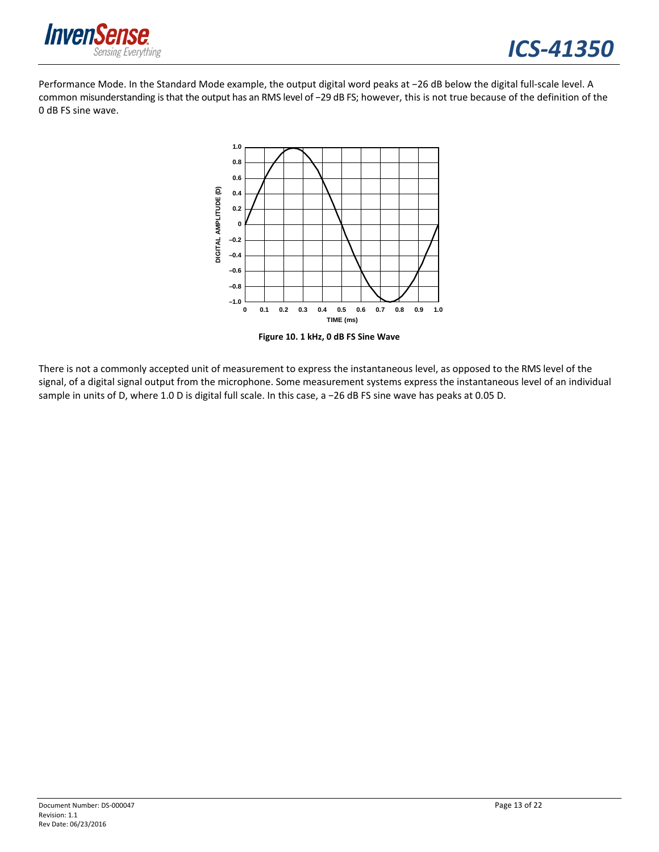

Performance Mode. In the Standard Mode example, the output digital word peaks at −26 dB below the digital full‐scale level. A common misunderstanding isthat the output has an RMS level of −29 dB FS; however, this is not true because of the definition of the 0 dB FS sine wave.



**Figure 10. 1 kHz, 0 dB FS Sine Wave**

There is not a commonly accepted unit of measurement to express the instantaneous level, as opposed to the RMS level of the signal, of a digital signal output from the microphone. Some measurement systems express the instantaneous level of an individual sample in units of D, where 1.0 D is digital full scale. In this case, a −26 dB FS sine wave has peaks at 0.05 D.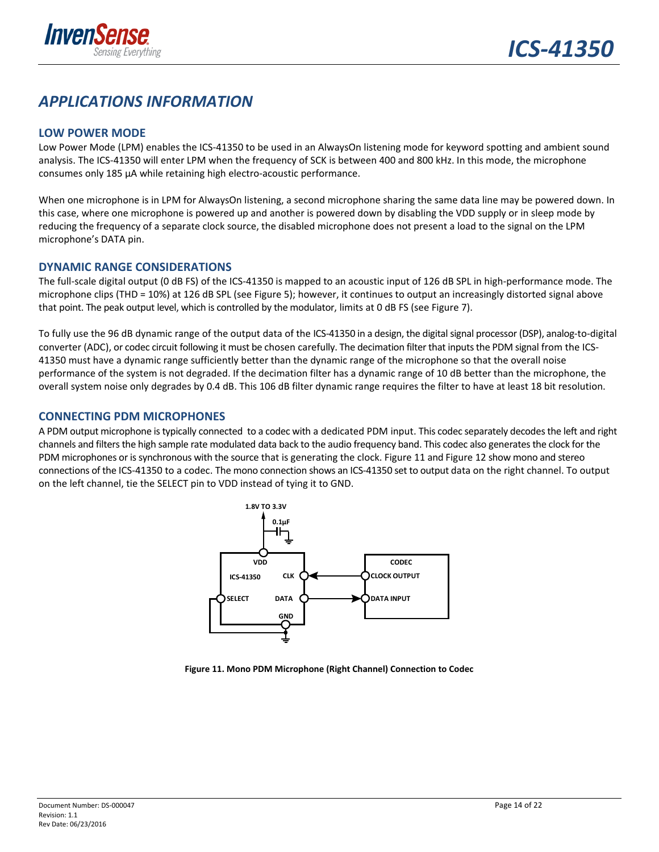

### *APPLICATIONS INFORMATION*

#### **LOW POWER MODE**

Low Power Mode (LPM) enables the ICS‐41350 to be used in an AlwaysOn listening mode for keyword spotting and ambient sound analysis. The ICS‐41350 will enter LPM when the frequency of SCK is between 400 and 800 kHz. In this mode, the microphone consumes only 185 µA while retaining high electro‐acoustic performance.

When one microphone is in LPM for AlwaysOn listening, a second microphone sharing the same data line may be powered down. In this case, where one microphone is powered up and another is powered down by disabling the VDD supply or in sleep mode by reducing the frequency of a separate clock source, the disabled microphone does not present a load to the signal on the LPM microphone's DATA pin.

#### **DYNAMIC RANGE CONSIDERATIONS**

The full-scale digital output (0 dB FS) of the ICS-41350 is mapped to an acoustic input of 126 dB SPL in high-performance mode. The microphone clips (THD = 10%) at 126 dB SPL (see Figure 5); however, it continues to output an increasingly distorted signal above that point. The peak output level, which is controlled by the modulator, limits at 0 dB FS (see Figure 7).

To fully use the 96 dB dynamic range of the output data of the ICS-41350 in a design, the digital signal processor (DSP), analog-to-digital converter (ADC), or codec circuit following it must be chosen carefully. The decimation filter that inputs the PDM signal from the ICS-41350 must have a dynamic range sufficiently better than the dynamic range of the microphone so that the overall noise performance of the system is not degraded. If the decimation filter has a dynamic range of 10 dB better than the microphone, the overall system noise only degrades by 0.4 dB. This 106 dB filter dynamic range requires the filter to have at least 18 bit resolution.

#### **CONNECTING PDM MICROPHONES**

A PDM output microphone istypically connected to a codec with a dedicated PDM input. This codec separately decodesthe left and right channels and filters the high sample rate modulated data back to the audio frequency band. This codec also generates the clock for the PDM microphones or is synchronous with the source that is generating the clock. Figure 11 and Figure 12 show mono and stereo connections of the ICS‐41350 to a codec. The mono connection shows an ICS‐41350 set to output data on the right channel. To output on the left channel, tie the SELECT pin to VDD instead of tying it to GND.



**Figure 11. Mono PDM Microphone (Right Channel) Connection to Codec**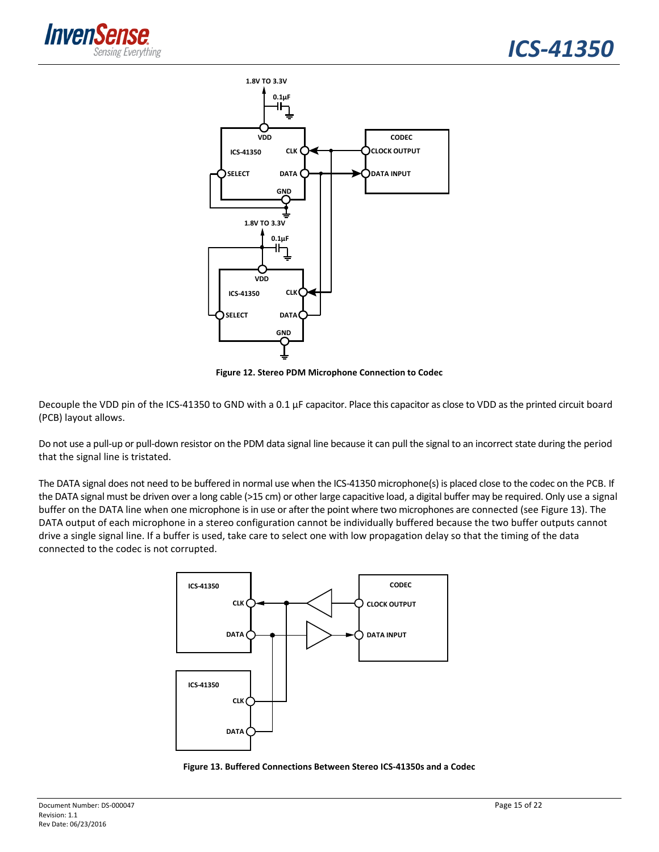



**Figure 12. Stereo PDM Microphone Connection to Codec**

Decouple the VDD pin of the ICS-41350 to GND with a 0.1 µF capacitor. Place this capacitor as close to VDD as the printed circuit board (PCB) layout allows.

Do not use a pull-up or pull-down resistor on the PDM data signal line because it can pull the signal to an incorrect state during the period that the signal line is tristated.

The DATA signal does not need to be buffered in normal use when the ICS-41350 microphone(s) is placed close to the codec on the PCB. If the DATA signal must be driven over a long cable (>15 cm) or other large capacitive load, a digital buffer may be required. Only use a signal buffer on the DATA line when one microphone is in use or after the point where two microphones are connected (see Figure 13). The DATA output of each microphone in a stereo configuration cannot be individually buffered because the two buffer outputs cannot drive a single signal line. If a buffer is used, take care to select one with low propagation delay so that the timing of the data connected to the codec is not corrupted.



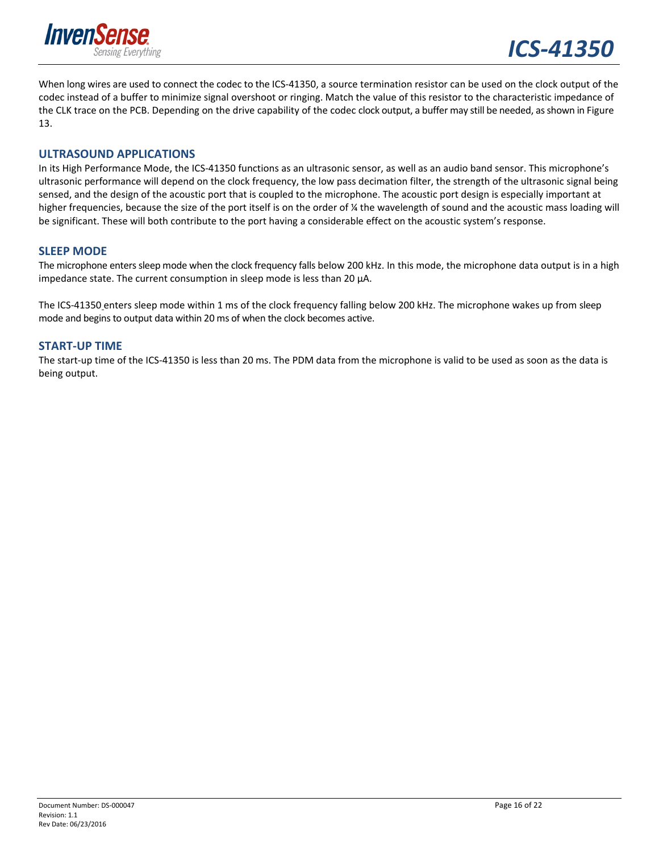

When long wires are used to connect the codec to the ICS-41350, a source termination resistor can be used on the clock output of the codec instead of a buffer to minimize signal overshoot or ringing. Match the value of this resistor to the characteristic impedance of the CLK trace on the PCB. Depending on the drive capability of the codec clock output, a buffer may still be needed, asshown in Figure 13.

#### **ULTRASOUND APPLICATIONS**

In its High Performance Mode, the ICS-41350 functions as an ultrasonic sensor, as well as an audio band sensor. This microphone's ultrasonic performance will depend on the clock frequency, the low pass decimation filter, the strength of the ultrasonic signal being sensed, and the design of the acoustic port that is coupled to the microphone. The acoustic port design is especially important at higher frequencies, because the size of the port itself is on the order of % the wavelength of sound and the acoustic mass loading will be significant. These will both contribute to the port having a considerable effect on the acoustic system's response.

#### **SLEEP MODE**

The microphone enters sleep mode when the clock frequency falls below 200 kHz. In this mode, the microphone data output is in a high impedance state. The current consumption in sleep mode is less than 20 µA.

The ICS-41350 enters sleep mode within 1 ms of the clock frequency falling below 200 kHz. The microphone wakes up from sleep mode and begins to output data within 20 ms of when the clock becomes active.

#### **START‐UP TIME**

The start‐up time of the ICS‐41350 is less than 20 ms. The PDM data from the microphone is valid to be used as soon as the data is being output.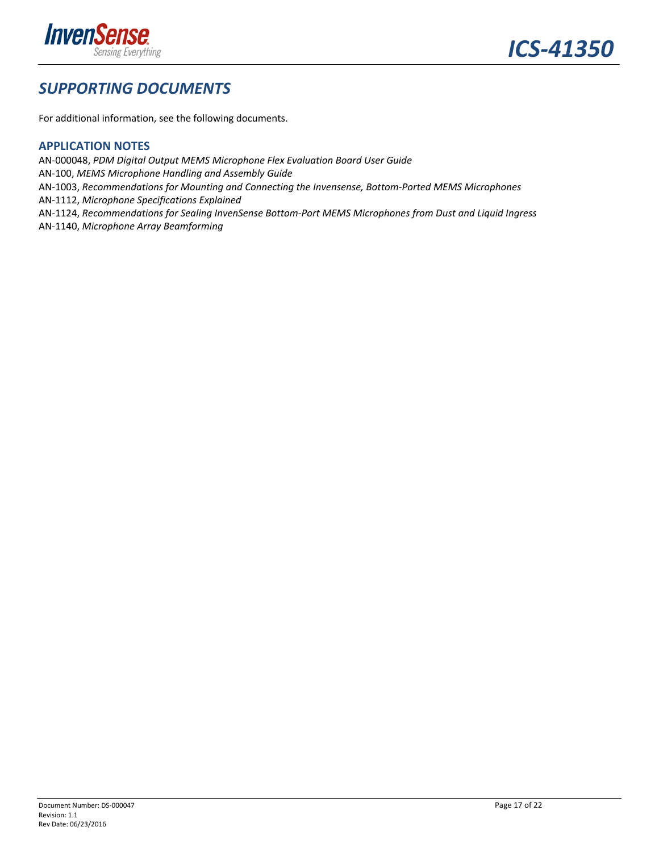

### *SUPPORTING DOCUMENTS*

For additional information, see the following documents.

#### **APPLICATION NOTES**

AN‐000048, *PDM Digital Output MEMS Microphone Flex Evaluation Board User Guide* AN‐100, *MEMS Microphone Handling and Assembly Guide* AN‐1003, *Recommendations for Mounting and Connecting the Invensense, Bottom‐Ported MEMS Microphones* AN‐1112, *Microphone Specifications Explained* AN‐1124, *Recommendations for Sealing InvenSense Bottom‐Port MEMS Microphones from Dust and Liquid Ingress* AN‐1140, *Microphone Array Beamforming*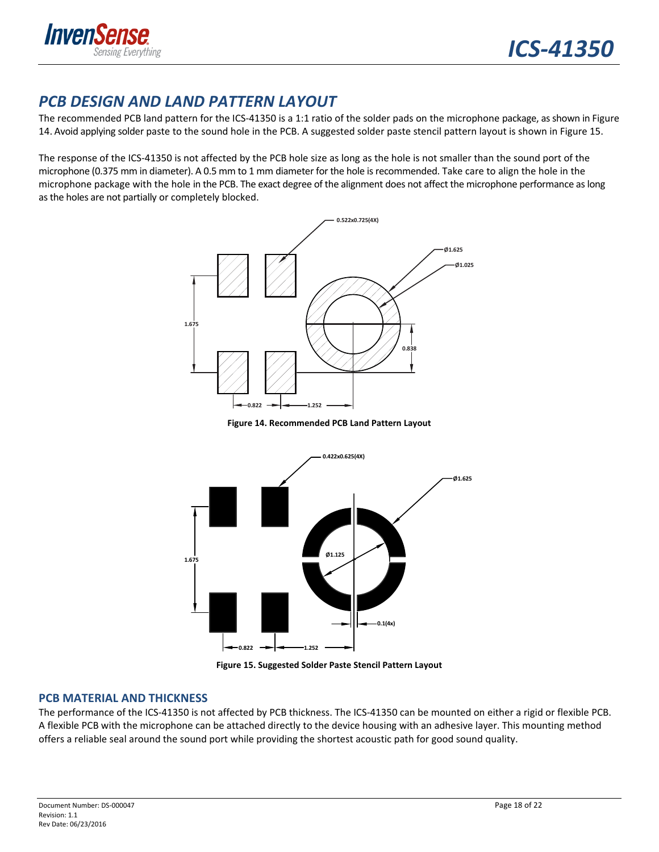

### *PCB DESIGN AND LAND PATTERN LAYOUT*

The recommended PCB land pattern for the ICS-41350 is a 1:1 ratio of the solder pads on the microphone package, as shown in Figure 14. Avoid applying solder paste to the sound hole in the PCB. A suggested solder paste stencil pattern layout is shown in Figure 15.

The response of the ICS‐41350 is not affected by the PCB hole size as long as the hole is not smaller than the sound port of the microphone (0.375 mm in diameter). A 0.5 mm to 1 mm diameter for the hole isrecommended. Take care to align the hole in the microphone package with the hole in the PCB. The exact degree of the alignment does not affect the microphone performance aslong asthe holes are not partially or completely blocked.



**Figure 14. Recommended PCB Land Pattern Layout**



**Figure 15. Suggested Solder Paste Stencil Pattern Layout**

#### **PCB MATERIAL AND THICKNESS**

The performance of the ICS‐41350 is not affected by PCB thickness. The ICS‐41350 can be mounted on either a rigid or flexible PCB. A flexible PCB with the microphone can be attached directly to the device housing with an adhesive layer. This mounting method offers a reliable seal around the sound port while providing the shortest acoustic path for good sound quality.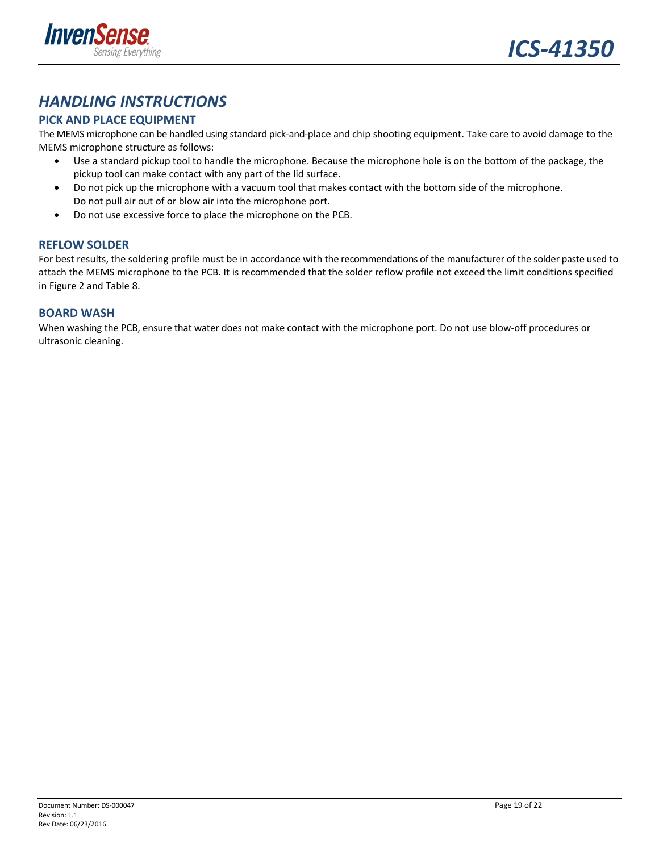

### *HANDLING INSTRUCTIONS*

#### **PICK AND PLACE EQUIPMENT**

The MEMS microphone can be handled using standard pick‐and‐place and chip shooting equipment. Take care to avoid damage to the MEMS microphone structure as follows:

- Use a standard pickup tool to handle the microphone. Because the microphone hole is on the bottom of the package, the pickup tool can make contact with any part of the lid surface.
- Do not pick up the microphone with a vacuum tool that makes contact with the bottom side of the microphone. Do not pull air out of or blow air into the microphone port.
- Do not use excessive force to place the microphone on the PCB.

#### **REFLOW SOLDER**

For best results, the soldering profile must be in accordance with the recommendations of the manufacturer of the solder paste used to attach the MEMS microphone to the PCB. It is recommended that the solder reflow profile not exceed the limit conditions specified in Figure 2 and Table 8.

#### **BOARD WASH**

When washing the PCB, ensure that water does not make contact with the microphone port. Do not use blow‐off procedures or ultrasonic cleaning.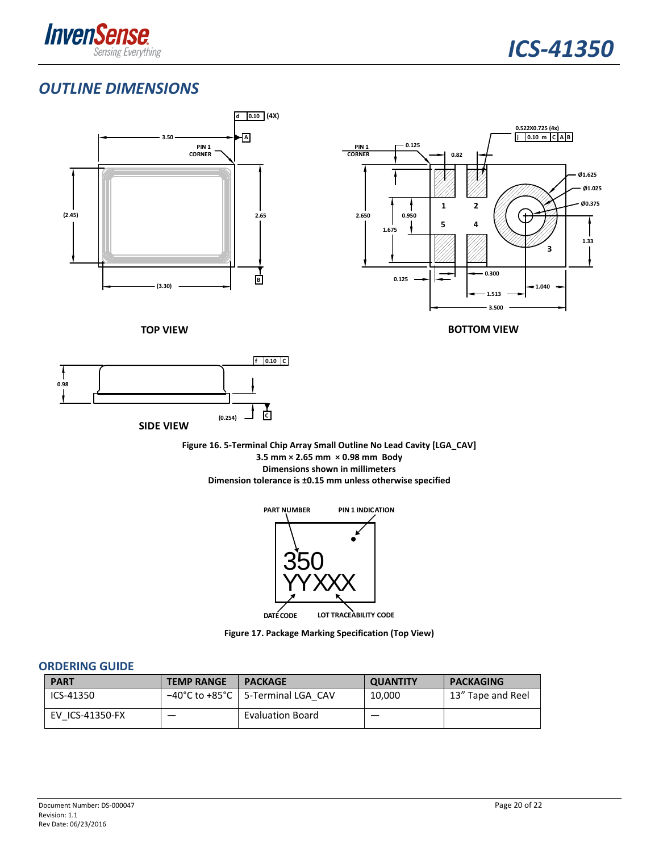

### *OUTLINE DIMENSIONS*



**Figure 16. 5‐Terminal Chip Array Small Outline No Lead Cavity [LGA\_CAV] 3.5 mm × 2.65 mm × 0.98 mm Body Dimensions shown in millimeters Dimension tolerance is ±0.15 mm unless otherwise specified**



**Figure 17. Package Marking Specification (Top View)**

#### **ORDERING GUIDE**

| <b>PART</b>     | <b>TEMP RANGE</b> | <b>PACKAGE</b>                      | <b>QUANTITY</b> | <b>PACKAGING</b>  |
|-----------------|-------------------|-------------------------------------|-----------------|-------------------|
| ICS-41350       |                   | -40°C to +85°C   5-Terminal LGA CAV | 10,000          | 13" Tape and Reel |
| EV ICS-41350-FX |                   | <b>Evaluation Board</b>             |                 |                   |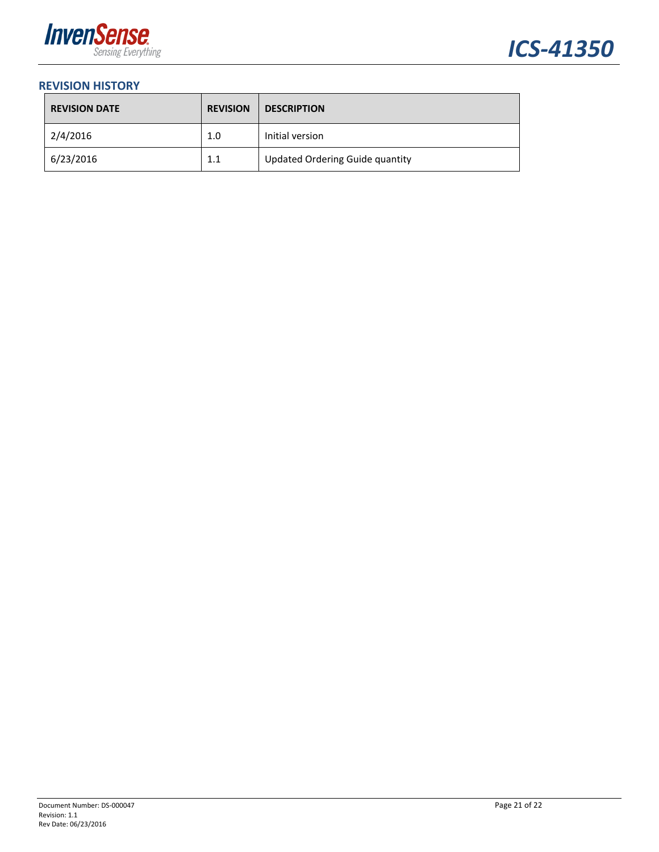



#### **REVISION HISTORY**

| <b>REVISION DATE</b> | <b>REVISION</b> | <b>DESCRIPTION</b>                     |
|----------------------|-----------------|----------------------------------------|
| 2/4/2016             | 1.0             | Initial version                        |
| 6/23/2016            | 1.1             | <b>Updated Ordering Guide quantity</b> |